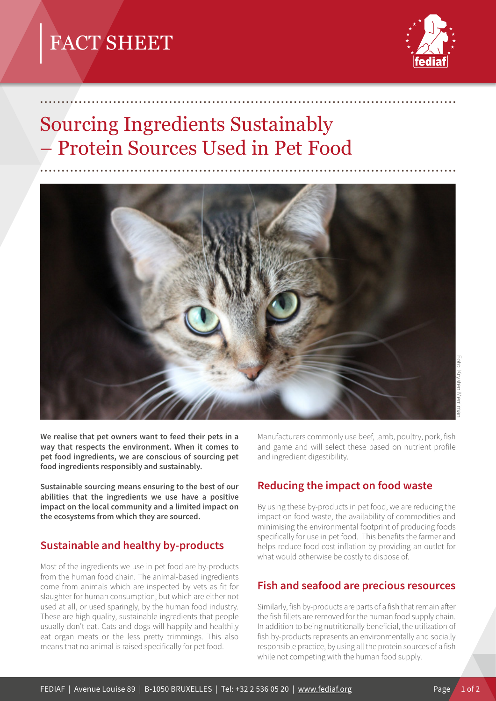# FACT SHEET



# Sourcing Ingredients Sustainably – Protein Sources Used in Pet Food



.................................................................................................

.................................................................................................

**We realise that pet owners want to feed their pets in a way that respects the environment. When it comes to pet food ingredients, we are conscious of sourcing pet food ingredients responsibly and sustainably.** 

**Sustainable sourcing means ensuring to the best of our abilities that the ingredients we use have a positive impact on the local community and a limited impact on the ecosystems from which they are sourced.**

## **Sustainable and healthy by-products**

Most of the ingredients we use in pet food are by-products from the human food chain. The animal-based ingredients come from animals which are inspected by vets as fit for slaughter for human consumption, but which are either not used at all, or used sparingly, by the human food industry. These are high quality, sustainable ingredients that people usually don't eat. Cats and dogs will happily and healthily eat organ meats or the less pretty trimmings. This also means that no animal is raised specifically for pet food.

Manufacturers commonly use beef, lamb, poultry, pork, fish and game and will select these based on nutrient profile and ingredient digestibility.

#### **Reducing the impact on food waste**

By using these by-products in pet food, we are reducing the impact on food waste, the availability of commodities and minimising the environmental footprint of producing foods specifically for use in pet food. This benefits the farmer and helps reduce food cost inflation by providing an outlet for what would otherwise be costly to dispose of.

#### **Fish and seafood are precious resources**

Similarly, fish by-products are parts of a fish that remain after the fish fillets are removed for the human food supply chain. In addition to being nutritionally beneficial, the utilization of fish by-products represents an environmentally and socially responsible practice, by using all the protein sources of a fish while not competing with the human food supply.